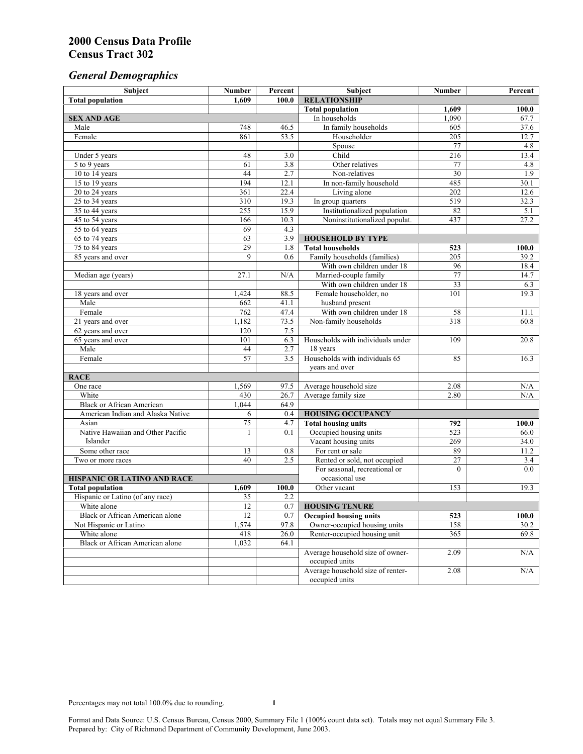# *General Demographics*

| Subject                                         | <b>Number</b> | Percent      | Subject                           | <b>Number</b>   | Percent      |
|-------------------------------------------------|---------------|--------------|-----------------------------------|-----------------|--------------|
| <b>Total population</b>                         | 1.609         | 100.0        | <b>RELATIONSHIP</b>               |                 |              |
|                                                 |               |              | <b>Total population</b>           | 1,609           | 100.0        |
| <b>SEX AND AGE</b>                              |               |              | In households                     | 1,090           | 67.7         |
| Male                                            | 748           | 46.5         | In family households              | 605             | 37.6         |
| Female                                          | 861           | 53.5         | Householder                       | 205             | 12.7         |
|                                                 |               |              | Spouse                            | 77              | 4.8          |
| Under 5 years                                   | 48            | 3.0          | Child                             | 216             | 13.4         |
| 5 to 9 years                                    | 61<br>44      | 3.8<br>2.7   | Other relatives<br>Non-relatives  | 77<br>30        | 4.8<br>1.9   |
| 10 to 14 years<br>15 to 19 years                | 194           | 12.1         | In non-family household           | 485             | 30.1         |
| 20 to 24 years                                  | 361           | 22.4         | Living alone                      | 202             | 12.6         |
| 25 to 34 years                                  | 310           | 19.3         | In group quarters                 | 519             | 32.3         |
| 35 to 44 years                                  | 255           | 15.9         | Institutionalized population      | 82              | 5.1          |
| 45 to 54 years                                  | 166           | 10.3         | Noninstitutionalized populat.     | 437             | 27.2         |
| 55 to 64 years                                  | 69            | 4.3          |                                   |                 |              |
| 65 to 74 years                                  | 63            | 3.9          | <b>HOUSEHOLD BY TYPE</b>          |                 |              |
| 75 to 84 years                                  | 29            | 1.8          | <b>Total households</b>           | 523             | 100.0        |
| 85 years and over                               | 9             | 0.6          | Family households (families)      | 205             | 39.2         |
|                                                 |               |              | With own children under 18        | 96              | 18.4         |
| Median age (years)                              | 27.1          | N/A          | Married-couple family             | 77              | 14.7         |
|                                                 |               |              | With own children under 18        | 33              | 6.3          |
| 18 years and over                               | 1,424         | 88.5         | Female householder, no            | 101             | 19.3         |
| Male                                            | 662           | 41.1         | husband present                   |                 |              |
| Female                                          | 762           | 47.4         | With own children under 18        | 58              | 11.1         |
| 21 years and over                               | 1,182         | 73.5         | Non-family households             | 318             | 60.8         |
| 62 years and over                               | 120           | 7.5          |                                   |                 |              |
| 65 years and over                               | 101           | 6.3          | Households with individuals under | 109             | 20.8         |
| Male                                            | 44            | 2.7          | 18 years                          |                 |              |
| Female                                          | 57            | 3.5          | Households with individuals 65    | 85              | 16.3         |
|                                                 |               |              | years and over                    |                 |              |
| <b>RACE</b>                                     |               |              |                                   |                 |              |
| One race                                        | 1,569         | 97.5         | Average household size            | 2.08            | N/A          |
| White                                           | 430           | 26.7         | Average family size               | 2.80            | N/A          |
| <b>Black or African American</b>                | 1,044         | 64.9         |                                   |                 |              |
| American Indian and Alaska Native               | 6             | 0.4          | <b>HOUSING OCCUPANCY</b>          |                 |              |
| Asian                                           | 75            | 4.7          | <b>Total housing units</b>        | 792             | 100.0        |
| Native Hawaiian and Other Pacific               | 1             | 0.1          | Occupied housing units            | 523             | 66.0         |
| Islander                                        |               |              | Vacant housing units              | 269             | 34.0         |
| Some other race                                 | 13            | 0.8          | For rent or sale                  | 89              | 11.2         |
| Two or more races                               | 40            | 2.5          | Rented or sold, not occupied      | $\overline{27}$ | 3.4          |
|                                                 |               |              | For seasonal, recreational or     | $\theta$        | 0.0          |
| HISPANIC OR LATINO AND RACE                     |               |              | occasional use                    |                 |              |
| <b>Total population</b>                         | 1,609         | 100.0        | Other vacant                      | 153             | 19.3         |
| Hispanic or Latino (of any race)<br>White alone | 35<br>12      | 2.2          |                                   |                 |              |
|                                                 |               | 0.7          | <b>HOUSING TENURE</b>             |                 |              |
| Black or African American alone                 | 12            | 0.7          | <b>Occupied housing units</b>     | 523             | 100.0        |
| Not Hispanic or Latino<br>White alone           | 1,574         | 97.8         | Owner-occupied housing units      | 158<br>365      | 30.2<br>69.8 |
| <b>Black or African American alone</b>          | 418           | 26.0<br>64.1 | Renter-occupied housing unit      |                 |              |
|                                                 | 1,032         |              | Average household size of owner-  | 2.09            | N/A          |
|                                                 |               |              | occupied units                    |                 |              |
|                                                 |               |              | Average household size of renter- | 2.08            | N/A          |
|                                                 |               |              | occupied units                    |                 |              |
|                                                 |               |              |                                   |                 |              |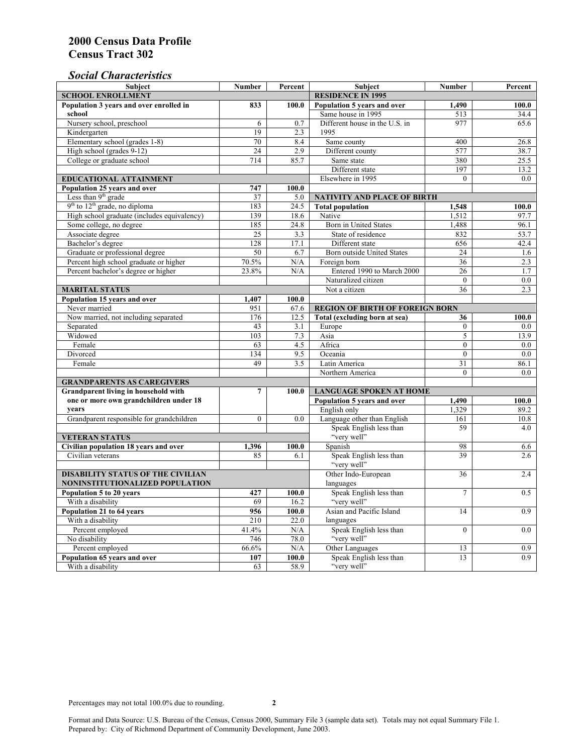### *Social Characteristics*

| <b>Subject</b>                                         | <b>Number</b>            | Percent      | <b>Subject</b>                                   | <b>Number</b>   | Percent     |
|--------------------------------------------------------|--------------------------|--------------|--------------------------------------------------|-----------------|-------------|
| <b>SCHOOL ENROLLMENT</b>                               | <b>RESIDENCE IN 1995</b> |              |                                                  |                 |             |
| Population 3 years and over enrolled in                | 833                      | 100.0        | Population 5 years and over                      | 1,490           | 100.0       |
| school                                                 |                          |              | Same house in 1995                               | 513             | 34.4        |
| Nursery school, preschool                              | 6                        | 0.7          | Different house in the U.S. in                   | 977             | 65.6        |
| Kindergarten                                           | 19                       | 2.3          | 1995                                             |                 |             |
| Elementary school (grades 1-8)                         | 70                       | 8.4          | Same county                                      | 400             | 26.8        |
| High school (grades 9-12)                              | $\overline{24}$          | 2.9          | Different county                                 | 577             | 38.7        |
| College or graduate school                             | 714                      | 85.7         | Same state                                       | 380             | 25.5        |
|                                                        |                          |              | Different state                                  | 197             | 13.2        |
| <b>EDUCATIONAL ATTAINMENT</b>                          |                          |              | Elsewhere in 1995                                | $\Omega$        | 0.0         |
| Population 25 years and over                           | 747                      | 100.0        |                                                  |                 |             |
| Less than 9 <sup>th</sup> grade                        | 37                       | 5.0          | NATIVITY AND PLACE OF BIRTH                      |                 |             |
| $9th$ to $12th$ grade, no diploma                      | 183                      | 24.5         | <b>Total population</b>                          | 1,548           | 100.0       |
| High school graduate (includes equivalency)            | 139                      | 18.6         | Native                                           | 1.512           | 97.7        |
| Some college, no degree                                | 185                      | 24.8         | <b>Born in United States</b>                     | 1,488           | 96.1        |
| Associate degree                                       | 25                       | 3.3          | State of residence                               | 832             | 53.7        |
| Bachelor's degree                                      | 128                      | 17.1         | Different state                                  | 656             | 42.4        |
| Graduate or professional degree                        | $50\,$                   | 6.7          | <b>Born outside United States</b>                | 24              | 1.6         |
| Percent high school graduate or higher                 | 70.5%                    | N/A          | Foreign born                                     | $\overline{36}$ | 2.3         |
| Percent bachelor's degree or higher                    | 23.8%                    | N/A          | Entered 1990 to March 2000                       | 26              | 1.7         |
|                                                        |                          |              | Naturalized citizen                              | $\overline{0}$  | 0.0         |
| <b>MARITAL STATUS</b>                                  |                          |              | Not a citizen                                    | 36              | 2.3         |
| Population 15 years and over                           | 1,407                    | 100.0        |                                                  |                 |             |
| Never married                                          | 951                      | 67.6         | <b>REGION OF BIRTH OF FOREIGN BORN</b>           |                 |             |
| Now married, not including separated                   | 176                      | 12.5         | Total (excluding born at sea)                    | 36              | 100.0       |
| Separated                                              | 43                       | 3.1          | Europe                                           | $\overline{0}$  | 0.0         |
| Widowed                                                | 103                      | 7.3          | Asia                                             | 5               | 13.9        |
| Female                                                 | 63                       | 4.5          | Africa                                           | $\theta$        | 0.0         |
| Divorced                                               | 134                      | 9.5          | Oceania                                          | $\Omega$        | 0.0         |
| Female                                                 | 49                       | 3.5          | Latin America                                    | 31              | 86.1        |
|                                                        |                          |              | Northern America                                 | $\theta$        | 0.0         |
| <b>GRANDPARENTS AS CAREGIVERS</b>                      |                          |              |                                                  |                 |             |
| Grandparent living in household with<br>$\overline{7}$ |                          | 100.0        | <b>LANGUAGE SPOKEN AT HOME</b><br>1.490<br>100.0 |                 |             |
| one or more own grandchildren under 18<br>vears        |                          |              | Population 5 years and over                      |                 |             |
|                                                        | $\mathbf{0}$             | 0.0          | English only<br>Language other than English      | 1,329<br>161    | 89.2        |
| Grandparent responsible for grandchildren              |                          |              | Speak English less than                          | 59              | 10.8<br>4.0 |
| <b>VETERAN STATUS</b>                                  |                          |              | "very well"                                      |                 |             |
| Civilian population 18 years and over                  |                          |              | Spanish                                          | 98              | 6.6         |
| Civilian veterans                                      | 1,396<br>85              | 100.0<br>6.1 | Speak English less than                          | 39              | 2.6         |
|                                                        |                          |              | "very well"                                      |                 |             |
| <b>DISABILITY STATUS OF THE CIVILIAN</b>               | Other Indo-European      | 36           | 2.4                                              |                 |             |
| NONINSTITUTIONALIZED POPULATION                        | languages                |              |                                                  |                 |             |
| Population 5 to 20 years                               | 427                      | 100.0        | Speak English less than                          | $\overline{7}$  | 0.5         |
| With a disability                                      | 69                       | 16.2         | "very well"                                      |                 |             |
| Population 21 to 64 years                              | 956                      | 100.0        | Asian and Pacific Island                         | 14              | 0.9         |
| With a disability                                      | 210                      | 22.0         | languages                                        |                 |             |
| Percent employed                                       | 41.4%                    | N/A          | Speak English less than                          | $\overline{0}$  | 0.0         |
| No disability                                          | 746                      | 78.0         | "very well"                                      |                 |             |
| Percent employed                                       | 66.6%                    | N/A          | Other Languages                                  | 13              | 0.9         |
| Population 65 years and over                           | 107                      | 100.0        | Speak English less than                          | 13              | 0.9         |
| With a disability                                      | 63                       | 58.9         | "very well"                                      |                 |             |

Format and Data Source: U.S. Bureau of the Census, Census 2000, Summary File 3 (sample data set). Totals may not equal Summary File 1. Prepared by: City of Richmond Department of Community Development, June 2003.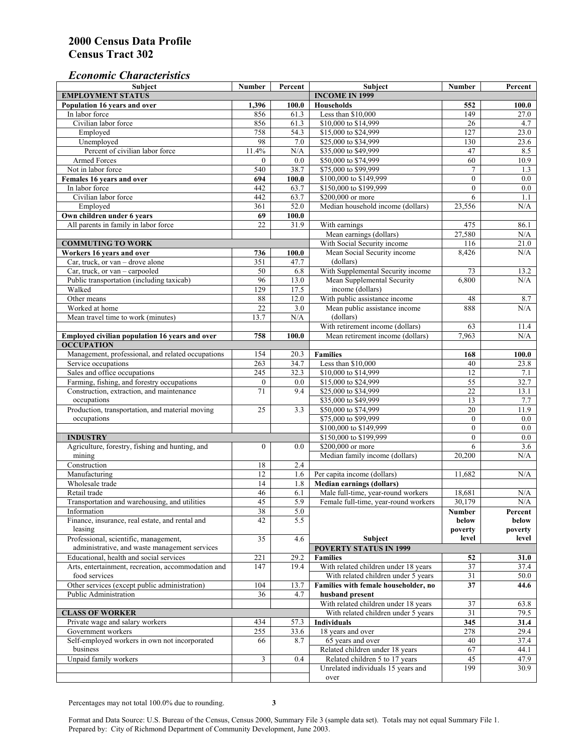#### *Economic Characteristics*

| <b>Subject</b>                                     | Number           | Percent | Subject                              | <b>Number</b>    | Percent |
|----------------------------------------------------|------------------|---------|--------------------------------------|------------------|---------|
| <b>EMPLOYMENT STATUS</b>                           |                  |         | <b>INCOME IN 1999</b>                |                  |         |
| Population 16 years and over                       | 1,396            | 100.0   | Households                           | 552              | 100.0   |
| In labor force                                     | 856              | 61.3    | Less than \$10,000                   | 149              | 27.0    |
| Civilian labor force                               | 856              | 61.3    | \$10,000 to \$14,999                 | 26               | 4.7     |
| Employed                                           | 758              | 54.3    | \$15,000 to \$24,999                 | 127              | 23.0    |
| Unemployed                                         | 98               | 7.0     | \$25,000 to \$34,999                 | 130              | 23.6    |
| Percent of civilian labor force                    | 11.4%            | N/A     | \$35,000 to \$49,999                 | 47               | 8.5     |
| Armed Forces                                       | $\mathbf{0}$     | 0.0     | \$50,000 to \$74,999                 | 60               | 10.9    |
| Not in labor force                                 | 540              | 38.7    | \$75,000 to \$99,999                 | $\tau$           | 1.3     |
| Females 16 years and over                          | 694              | 100.0   | \$100,000 to \$149,999               | $\boldsymbol{0}$ | 0.0     |
| In labor force                                     | 442              | 63.7    | \$150,000 to \$199,999               | $\mathbf{0}$     | 0.0     |
| Civilian labor force                               | 442              | 63.7    | \$200,000 or more                    | 6                | 1.1     |
| Employed                                           | 361              | 52.0    | Median household income (dollars)    | 23,556           | N/A     |
| Own children under 6 years                         | 69               | 100.0   |                                      |                  |         |
| All parents in family in labor force               | 22               | 31.9    | With earnings                        | 475              | 86.1    |
|                                                    |                  |         |                                      |                  |         |
|                                                    |                  |         | Mean earnings (dollars)              | 27,580           | N/A     |
| <b>COMMUTING TO WORK</b>                           |                  |         | With Social Security income          | 116              | 21.0    |
| Workers 16 years and over                          | 736              | 100.0   | Mean Social Security income          | 8,426            | N/A     |
| Car, truck, or van – drove alone                   | 351              | 47.7    | (dollars)                            |                  |         |
| Car, truck, or $van$ – carpooled                   | $50\,$           | 6.8     | With Supplemental Security income    | 73               | 13.2    |
| Public transportation (including taxicab)          | 96               | 13.0    | Mean Supplemental Security           | 6,800            | N/A     |
| Walked                                             | 129              | 17.5    | income (dollars)                     |                  |         |
| Other means                                        | 88               | 12.0    | With public assistance income        | 48               | 8.7     |
| Worked at home                                     | $\overline{22}$  | 3.0     | Mean public assistance income        | 888              | N/A     |
| Mean travel time to work (minutes)                 | 13.7             | N/A     | (dollars)                            |                  |         |
|                                                    |                  |         | With retirement income (dollars)     | 63               | 11.4    |
| Employed civilian population 16 years and over     | 758              | 100.0   | Mean retirement income (dollars)     | 7,963            | N/A     |
| <b>OCCUPATION</b>                                  |                  |         |                                      |                  |         |
| Management, professional, and related occupations  | 154              | 20.3    | <b>Families</b>                      | 168              | 100.0   |
| Service occupations                                | 263              | 34.7    | Less than \$10,000                   | 40               | 23.8    |
| Sales and office occupations                       | 245              | 32.3    | \$10,000 to \$14,999                 | 12               | 7.1     |
| Farming, fishing, and forestry occupations         | $\boldsymbol{0}$ | 0.0     | \$15,000 to \$24,999                 | 55               | 32.7    |
| Construction, extraction, and maintenance          | 71               | 9.4     | \$25,000 to \$34,999                 | $22\,$           | 13.1    |
| occupations                                        |                  |         | \$35,000 to \$49,999                 | 13               | 7.7     |
| Production, transportation, and material moving    | 25               | 3.3     | \$50,000 to \$74,999                 | 20               | 11.9    |
| occupations                                        |                  |         | \$75,000 to \$99,999                 | $\boldsymbol{0}$ | $0.0\,$ |
|                                                    |                  |         | \$100,000 to \$149,999               | $\mathbf{0}$     | 0.0     |
|                                                    |                  |         |                                      |                  |         |
| <b>INDUSTRY</b>                                    |                  |         | \$150,000 to \$199,999               | $\mathbf{0}$     | 0.0     |
| Agriculture, forestry, fishing and hunting, and    | $\mathbf{0}$     | 0.0     | \$200,000 or more                    | 6                | 3.6     |
| mining                                             |                  |         | Median family income (dollars)       | 20,200           | N/A     |
| Construction                                       | 18               | 2.4     |                                      |                  |         |
| Manufacturing                                      | $\overline{12}$  | 1.6     | Per capita income (dollars)          | 11,682           | N/A     |
| Wholesale trade                                    | 14               | 1.8     | <b>Median earnings (dollars)</b>     |                  |         |
| Retail trade                                       | 46               | 6.1     | Male full-time, year-round workers   | 18,681           | N/A     |
| Transportation and warehousing, and utilities      | 45               | 5.9     | Female full-time, year-round workers | 30.179           | N/A     |
| Information                                        | 38               | 5.0     |                                      | Number           | Percent |
| Finance, insurance, real estate, and rental and    | 42               | 5.5     |                                      | below            | below   |
| leasing                                            |                  |         |                                      | poverty          | poverty |
| Professional, scientific, management,              | 35               | 4.6     | <b>Subject</b>                       | level            | level   |
| administrative, and waste management services      |                  |         | <b>POVERTY STATUS IN 1999</b>        |                  |         |
| Educational, health and social services            | 221              | 29.2    | <b>Families</b>                      | 52               | 31.0    |
| Arts, entertainment, recreation, accommodation and | 147              | 19.4    | With related children under 18 years | 37               | 37.4    |
| food services                                      |                  |         | With related children under 5 years  | 31               | 50.0    |
| Other services (except public administration)      | 104              | 13.7    | Families with female householder, no | 37               | 44.6    |
| Public Administration                              | 36               | 4.7     | husband present                      |                  |         |
|                                                    |                  |         | With related children under 18 years | 37               | 63.8    |
| <b>CLASS OF WORKER</b>                             |                  |         |                                      |                  |         |
|                                                    |                  |         | With related children under 5 years  | 31               | 79.5    |
| Private wage and salary workers                    | 434              | 57.3    | Individuals                          | 345              | 31.4    |
| Government workers                                 | 255              | 33.6    | 18 years and over                    | 278              | 29.4    |
| Self-employed workers in own not incorporated      | 66               | 8.7     | 65 years and over                    | 40               | 37.4    |
| business                                           |                  |         | Related children under 18 years      | 67               | 44.1    |
| Unpaid family workers                              | $\mathfrak{Z}$   | 0.4     | Related children 5 to 17 years       | 45               | 47.9    |
|                                                    |                  |         | Unrelated individuals 15 years and   | 199              | 30.9    |
|                                                    |                  |         | over                                 |                  |         |

Percentages may not total 100.0% due to rounding. **3** 

Format and Data Source: U.S. Bureau of the Census, Census 2000, Summary File 3 (sample data set). Totals may not equal Summary File 1. Prepared by: City of Richmond Department of Community Development, June 2003.